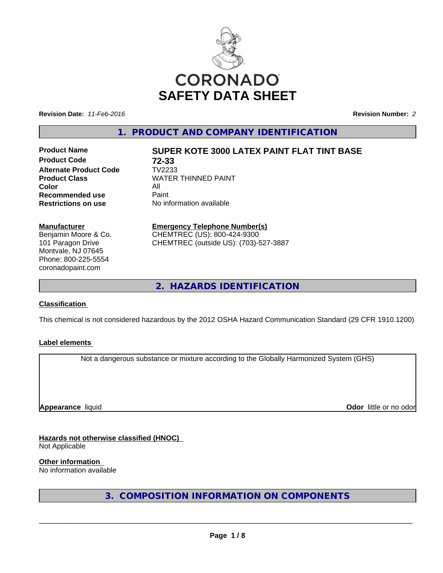

**Revision Date:** *11-Feb-2016* **Revision Number:** *2*

**1. PRODUCT AND COMPANY IDENTIFICATION**

**Product Code 72-33 Alternate Product Code** TV2233 **Color Recommended use** Paint<br> **Restrictions on use** No inf

# **Product Name SUPER KOTE 3000 LATEX PAINT FLAT TINT BASE**

**Product Class** WATER THINNED PAINT<br>Color **No information available** 

### **Manufacturer**

Benjamin Moore & Co. 101 Paragon Drive Montvale, NJ 07645 Phone: 800-225-5554 coronadopaint.com

# **Emergency Telephone Number(s)**

CHEMTREC (US): 800-424-9300 CHEMTREC (outside US): (703)-527-3887

**2. HAZARDS IDENTIFICATION**

# **Classification**

This chemical is not considered hazardous by the 2012 OSHA Hazard Communication Standard (29 CFR 1910.1200)

# **Label elements**

Not a dangerous substance or mixture according to the Globally Harmonized System (GHS)

**Appearance** liquid

**Odor** little or no odor

**Hazards not otherwise classified (HNOC)** Not Applicable

**Other information**

No information available

**3. COMPOSITION INFORMATION ON COMPONENTS**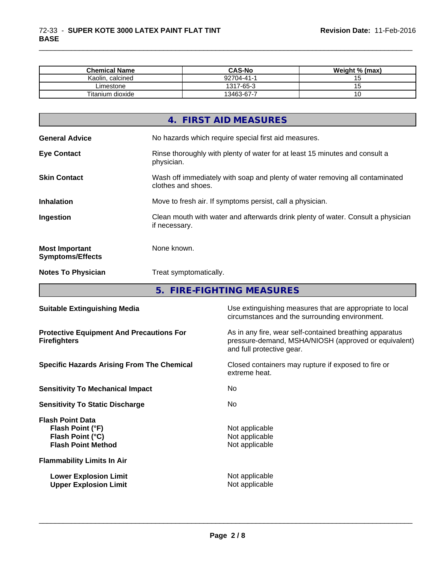| <b>Chemical Name</b> | <b>CAS-No</b> | Weight % (max) |  |
|----------------------|---------------|----------------|--|
| Kaolin, calcined     | 92704-41-1    |                |  |
| _imestone            | 1317-65-3     |                |  |
| Titanium dioxide     | 13463-67-7    |                |  |

\_\_\_\_\_\_\_\_\_\_\_\_\_\_\_\_\_\_\_\_\_\_\_\_\_\_\_\_\_\_\_\_\_\_\_\_\_\_\_\_\_\_\_\_\_\_\_\_\_\_\_\_\_\_\_\_\_\_\_\_\_\_\_\_\_\_\_\_\_\_\_\_\_\_\_\_\_\_\_\_\_\_\_\_\_\_\_\_\_\_\_\_\_

| 4. FIRST AID MEASURES                                                                                                     |
|---------------------------------------------------------------------------------------------------------------------------|
| No hazards which require special first aid measures.<br><b>General Advice</b>                                             |
| Rinse thoroughly with plenty of water for at least 15 minutes and consult a<br><b>Eye Contact</b><br>physician.           |
| <b>Skin Contact</b><br>Wash off immediately with soap and plenty of water removing all contaminated<br>clothes and shoes. |
| <b>Inhalation</b><br>Move to fresh air. If symptoms persist, call a physician.                                            |
| Clean mouth with water and afterwards drink plenty of water. Consult a physician<br>Ingestion<br>if necessary.            |
| None known.<br><b>Most Important</b><br><b>Symptoms/Effects</b>                                                           |
| <b>Notes To Physician</b><br>Treat symptomatically.                                                                       |

**5. FIRE-FIGHTING MEASURES**

| <b>Suitable Extinguishing Media</b>                                                          | Use extinguishing measures that are appropriate to local<br>circumstances and the surrounding environment.                                   |
|----------------------------------------------------------------------------------------------|----------------------------------------------------------------------------------------------------------------------------------------------|
| <b>Protective Equipment And Precautions For</b><br><b>Firefighters</b>                       | As in any fire, wear self-contained breathing apparatus<br>pressure-demand, MSHA/NIOSH (approved or equivalent)<br>and full protective gear. |
| <b>Specific Hazards Arising From The Chemical</b>                                            | Closed containers may rupture if exposed to fire or<br>extreme heat.                                                                         |
| <b>Sensitivity To Mechanical Impact</b>                                                      | No.                                                                                                                                          |
| <b>Sensitivity To Static Discharge</b>                                                       | No.                                                                                                                                          |
| <b>Flash Point Data</b><br>Flash Point (°F)<br>Flash Point (°C)<br><b>Flash Point Method</b> | Not applicable<br>Not applicable<br>Not applicable                                                                                           |
| <b>Flammability Limits In Air</b>                                                            |                                                                                                                                              |
| <b>Lower Explosion Limit</b><br><b>Upper Explosion Limit</b>                                 | Not applicable<br>Not applicable                                                                                                             |
|                                                                                              |                                                                                                                                              |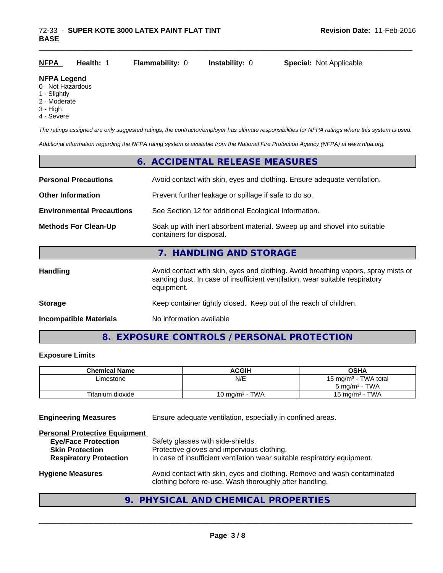| <b>NFPA</b> | <b>Health: 1</b> | Flammability: 0 | <b>Instability: 0</b> | <b>Special: Not Applicable</b> |
|-------------|------------------|-----------------|-----------------------|--------------------------------|
|             |                  |                 |                       |                                |

# **NFPA Legend**

- 0 Not Hazardous
- 1 Slightly
- 2 Moderate
- 3 High
- 4 Severe

*The ratings assigned are only suggested ratings, the contractor/employer has ultimate responsibilities for NFPA ratings where this system is used.*

*Additional information regarding the NFPA rating system is available from the National Fire Protection Agency (NFPA) at www.nfpa.org.*

|                                  | 6. ACCIDENTAL RELEASE MEASURES                                                                                                                                                   |  |
|----------------------------------|----------------------------------------------------------------------------------------------------------------------------------------------------------------------------------|--|
| <b>Personal Precautions</b>      | Avoid contact with skin, eyes and clothing. Ensure adequate ventilation.                                                                                                         |  |
| <b>Other Information</b>         | Prevent further leakage or spillage if safe to do so.                                                                                                                            |  |
| <b>Environmental Precautions</b> | See Section 12 for additional Ecological Information.                                                                                                                            |  |
| <b>Methods For Clean-Up</b>      | Soak up with inert absorbent material. Sweep up and shovel into suitable<br>containers for disposal.                                                                             |  |
|                                  | 7. HANDLING AND STORAGE                                                                                                                                                          |  |
| <b>Handling</b>                  | Avoid contact with skin, eyes and clothing. Avoid breathing vapors, spray mists or<br>sanding dust. In case of insufficient ventilation, wear suitable respiratory<br>equipment. |  |
| <b>Storage</b>                   | Keep container tightly closed. Keep out of the reach of children.                                                                                                                |  |
| <b>Incompatible Materials</b>    | No information available                                                                                                                                                         |  |

# **8. EXPOSURE CONTROLS / PERSONAL PROTECTION**

# **Exposure Limits**

| <b>Chemical Name</b> | <b>ACGIH</b>      | OSHA                             |
|----------------------|-------------------|----------------------------------|
| ∟imestone            | N/E               | 15 mg/m <sup>3</sup> - TWA total |
|                      |                   | $5 \text{ mg/m}^3$ - TWA         |
| Titanium dioxide     | 10 mg/m $3$ - TWA | 15 mg/m $3$ - TWA                |

**Engineering Measures** Ensure adequate ventilation, especially in confined areas.

| <b>Personal Protective Equipment</b> |                                                                                                                                     |
|--------------------------------------|-------------------------------------------------------------------------------------------------------------------------------------|
| <b>Eye/Face Protection</b>           | Safety glasses with side-shields.                                                                                                   |
| <b>Skin Protection</b>               | Protective gloves and impervious clothing.                                                                                          |
| <b>Respiratory Protection</b>        | In case of insufficient ventilation wear suitable respiratory equipment.                                                            |
| <b>Hygiene Measures</b>              | Avoid contact with skin, eyes and clothing. Remove and wash contaminated<br>clothing before re-use. Wash thoroughly after handling. |

# **9. PHYSICAL AND CHEMICAL PROPERTIES**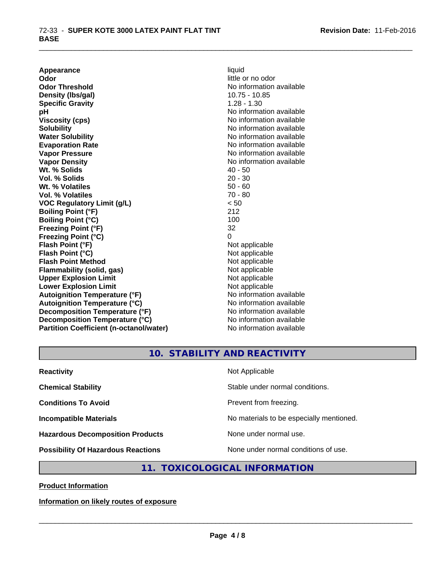**Appearance** liquid **Odor** little or no odor **Odor Threshold**<br> **Density (Ibs/aal)**<br> **Density (Ibs/aal)**<br> **Density (Ibs/aal) Density (lbs/gal) Specific Gravity** 1.28 - 1.30 **pH** No information available **Viscosity (cps)** No information available in the Viscosity (cps) **Solubility Note 2008 Note 2008 Note 2008 Note 2008 Note 2008 Note 2008 Note 2008 Note 2008 Note 2008 Note 2008 Note 2008 Note 2008 Note 2008 Note 2008 Note 2008 Note 2008 Note 2008 Note Water Solubility Water Solubility Water Solubility No information available Evaporation Rate No information available No information available Vapor Pressure** No information available **Vapor Density Vapor Density No information available Wt. % Solids** 40 - 50 **Vol. % Solids** 20 - 30 **Wt. % Volatiles** 50 - 60 **Vol. % Volatiles** 70 - 80 **VOC Regulatory Limit (g/L)** < 50 **Boiling Point (°F)** 212 **Boiling Point (°C)** 100 **Freezing Point (°F)** 32 **Freezing Point (°C)** 0 **Flash Point (°F)** Not applicable **Flash Point (°C)** Not applicable **Flash Point Method** Not applicable **Flammability (solid, gas)** Not applicable **Upper Explosion Limit**<br> **Lower Explosion Limit**<br> **Lower Explosion Limit Lower Explosion Limit**<br> **Autoianition Temperature (°F)**<br> **Autoianition Temperature (°F)**<br> **Autoianition Temperature (°F)** Autoignition Temperature (°F)<br> **Autoignition Temperature (°C)**<br>
No information available **Autoignition Temperature (°C) Decomposition Temperature (°F)** No information available **Decomposition Temperature (°C)** No information available **Partition Coefficient (n-octanol/water)** No information available

\_\_\_\_\_\_\_\_\_\_\_\_\_\_\_\_\_\_\_\_\_\_\_\_\_\_\_\_\_\_\_\_\_\_\_\_\_\_\_\_\_\_\_\_\_\_\_\_\_\_\_\_\_\_\_\_\_\_\_\_\_\_\_\_\_\_\_\_\_\_\_\_\_\_\_\_\_\_\_\_\_\_\_\_\_\_\_\_\_\_\_\_\_

**10. STABILITY AND REACTIVITY**

| <b>Reactivity</b>                         | Not Applicable                           |
|-------------------------------------------|------------------------------------------|
| <b>Chemical Stability</b>                 | Stable under normal conditions.          |
| <b>Conditions To Avoid</b>                | Prevent from freezing.                   |
| <b>Incompatible Materials</b>             | No materials to be especially mentioned. |
| <b>Hazardous Decomposition Products</b>   | None under normal use.                   |
| <b>Possibility Of Hazardous Reactions</b> | None under normal conditions of use.     |

# **11. TOXICOLOGICAL INFORMATION**

**Product Information**

**Information on likely routes of exposure**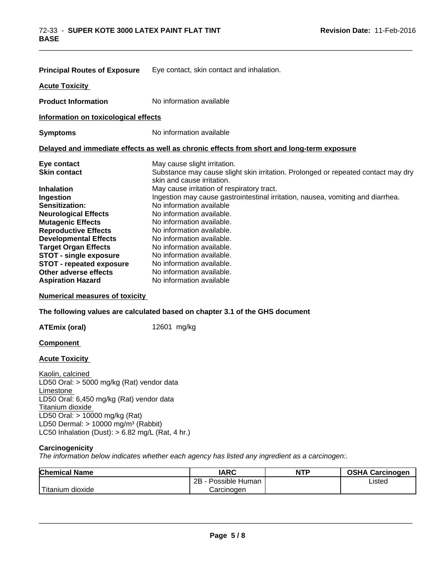|                                      | <b>Principal Routes of Exposure</b> Eye contact, skin contact and inhalation.                                   |
|--------------------------------------|-----------------------------------------------------------------------------------------------------------------|
| <b>Acute Toxicity</b>                |                                                                                                                 |
| <b>Product Information</b>           | No information available                                                                                        |
| Information on toxicological effects |                                                                                                                 |
| <b>Symptoms</b>                      | No information available                                                                                        |
|                                      | Delayed and immediate effects as well as chronic effects from short and long-term exposure                      |
| Eye contact                          | May cause slight irritation.                                                                                    |
| <b>Skin contact</b>                  | Substance may cause slight skin irritation. Prolonged or repeated contact may dry<br>skin and cause irritation. |
| <b>Inhalation</b>                    | May cause irritation of respiratory tract.                                                                      |
| Ingestion                            | Ingestion may cause gastrointestinal irritation, nausea, vomiting and diarrhea.                                 |
| Sensitization:                       | No information available                                                                                        |
| <b>Neurological Effects</b>          | No information available.                                                                                       |
| <b>Mutagenic Effects</b>             | No information available.                                                                                       |
| <b>Reproductive Effects</b>          | No information available.                                                                                       |
| <b>Developmental Effects</b>         | No information available.                                                                                       |
| <b>Target Organ Effects</b>          | No information available.                                                                                       |
| <b>STOT - single exposure</b>        | No information available.                                                                                       |
| <b>STOT - repeated exposure</b>      | No information available.                                                                                       |
| Other adverse effects                | No information available.                                                                                       |
| <b>Aspiration Hazard</b>             | No information available                                                                                        |

\_\_\_\_\_\_\_\_\_\_\_\_\_\_\_\_\_\_\_\_\_\_\_\_\_\_\_\_\_\_\_\_\_\_\_\_\_\_\_\_\_\_\_\_\_\_\_\_\_\_\_\_\_\_\_\_\_\_\_\_\_\_\_\_\_\_\_\_\_\_\_\_\_\_\_\_\_\_\_\_\_\_\_\_\_\_\_\_\_\_\_\_\_

**Numerical measures of toxicity**

**The following values are calculated based on chapter 3.1 of the GHS document**

**ATEmix (oral)** 12601 mg/kg

# **Component**

# **Acute Toxicity**

Kaolin, calcined LD50 Oral: > 5000 mg/kg (Rat) vendor data Limestone LD50 Oral: 6,450 mg/kg (Rat) vendor data Titanium dioxide LD50 Oral: > 10000 mg/kg (Rat) LD50 Dermal: > 10000 mg/m³ (Rabbit) LC50 Inhalation (Dust): > 6.82 mg/L (Rat, 4 hr.)

## **Carcinogenicity**

*The information below indicateswhether each agency has listed any ingredient as a carcinogen:.*

| <b>Chemical Name</b>        | <b>IARC</b>          | <b>NTP</b> | <b>OSHA Carcinogen</b> |
|-----------------------------|----------------------|------------|------------------------|
|                             | 2B<br>Possible Human |            | Listed                 |
| $-1$<br>dioxide<br>Titanium | Carcinogen           |            |                        |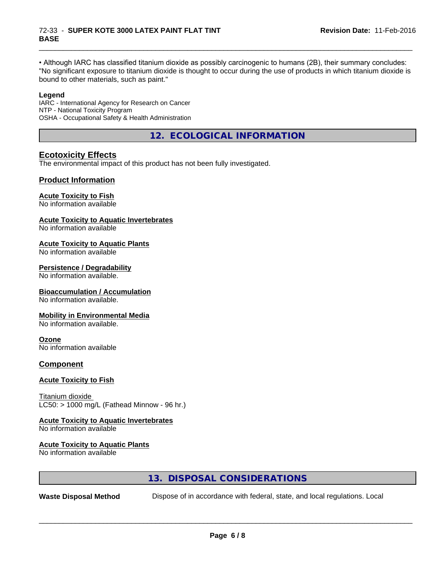• Although IARC has classified titanium dioxide as possibly carcinogenic to humans (2B), their summary concludes: "No significant exposure to titanium dioxide is thought to occur during the use of products in which titanium dioxide is bound to other materials, such as paint."

\_\_\_\_\_\_\_\_\_\_\_\_\_\_\_\_\_\_\_\_\_\_\_\_\_\_\_\_\_\_\_\_\_\_\_\_\_\_\_\_\_\_\_\_\_\_\_\_\_\_\_\_\_\_\_\_\_\_\_\_\_\_\_\_\_\_\_\_\_\_\_\_\_\_\_\_\_\_\_\_\_\_\_\_\_\_\_\_\_\_\_\_\_

### **Legend**

IARC - International Agency for Research on Cancer NTP - National Toxicity Program OSHA - Occupational Safety & Health Administration

**12. ECOLOGICAL INFORMATION**

# **Ecotoxicity Effects**

The environmental impact of this product has not been fully investigated.

# **Product Information**

# **Acute Toxicity to Fish**

No information available

### **Acute Toxicity to Aquatic Invertebrates**

No information available

### **Acute Toxicity to Aquatic Plants**

No information available

#### **Persistence / Degradability**

No information available.

#### **Bioaccumulation / Accumulation**

No information available.

#### **Mobility in Environmental Media**

No information available.

# **Ozone**

No information available

# **Component**

# **Acute Toxicity to Fish**

Titanium dioxide  $LC50:$  > 1000 mg/L (Fathead Minnow - 96 hr.)

# **Acute Toxicity to Aquatic Invertebrates**

No information available

# **Acute Toxicity to Aquatic Plants**

No information available

# **13. DISPOSAL CONSIDERATIONS**

**Waste Disposal Method** Dispose of in accordance with federal, state, and local regulations. Local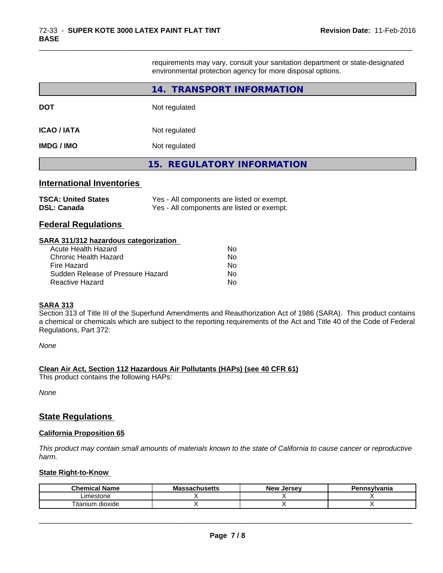requirements may vary, consult your sanitation department or state-designated environmental protection agency for more disposal options.

\_\_\_\_\_\_\_\_\_\_\_\_\_\_\_\_\_\_\_\_\_\_\_\_\_\_\_\_\_\_\_\_\_\_\_\_\_\_\_\_\_\_\_\_\_\_\_\_\_\_\_\_\_\_\_\_\_\_\_\_\_\_\_\_\_\_\_\_\_\_\_\_\_\_\_\_\_\_\_\_\_\_\_\_\_\_\_\_\_\_\_\_\_

|                                                                                                                                                                                          | 14. TRANSPORT INFORMATION                                                                |
|------------------------------------------------------------------------------------------------------------------------------------------------------------------------------------------|------------------------------------------------------------------------------------------|
| DOT                                                                                                                                                                                      | Not regulated                                                                            |
| <b>ICAO / IATA</b>                                                                                                                                                                       | Not regulated                                                                            |
| IMDG / IMO                                                                                                                                                                               | Not regulated                                                                            |
|                                                                                                                                                                                          | <b>15. REGULATORY INFORMATION</b>                                                        |
| <b>International Inventories</b><br><b>TSCA: United States</b><br>DSL: Canada<br><b>Federal Regulations</b>                                                                              | Yes - All components are listed or exempt.<br>Yes - All components are listed or exempt. |
| <b>SARA 311/312 hazardous categorization</b><br><b>Acute Health Hazard</b><br><b>Chronic Health Hazard</b><br>Fire Hazard<br>Sudden Release of Pressure Hazard<br><b>Reactive Hazard</b> | No.<br>No.<br>No.<br>No.<br>No                                                           |

# **SARA 313**

Section 313 of Title III of the Superfund Amendments and Reauthorization Act of 1986 (SARA). This product contains a chemical or chemicals which are subject to the reporting requirements of the Act and Title 40 of the Code of Federal Regulations, Part 372:

*None*

# **Clean Air Act,Section 112 Hazardous Air Pollutants (HAPs) (see 40 CFR 61)**

This product contains the following HAPs:

*None*

# **State Regulations**

### **California Proposition 65**

This product may contain small amounts of materials known to the state of California to cause cancer or reproductive *harm.*

#### **State Right-to-Know**

| Chemical<br>.<br>Name | ıssachusetts<br>ма | . Jersev<br><b>New</b> | าnsvlvania |
|-----------------------|--------------------|------------------------|------------|
| Limestone             |                    |                        |            |
| Titanium.<br>⊦dioxide |                    |                        |            |